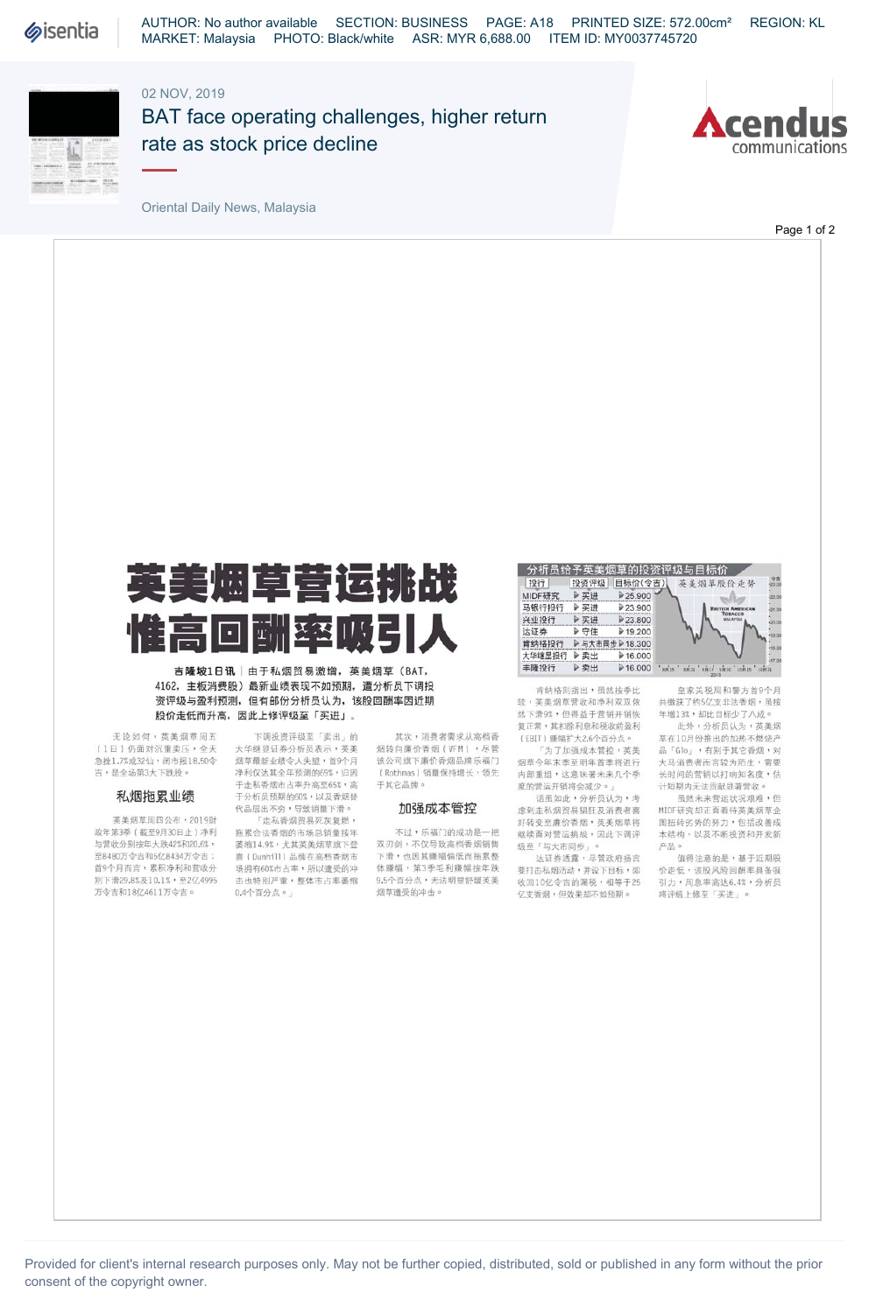

AUTHOR: No author available SECTION: BUSINESS PAGE: A18 PRINTED SIZE: 572.00cm² REGION: KL MARKET: Malaysia PHOTO: Black/white ASR: MYR 6,688.00 ITEM ID: MY0037745720

## 02 NOV, 2019



BAT face operating challenges, higher return rate as stock price decline



Oriental Daily News, Malaysia

Page 1 of 2



<sub>=</sub><br>吉<mark>隆坡1日讯</mark>│由于私烟贸易激増,英美烟草(BAT, 4162, 主板消费股)最新业绩表现不如预期,遭分析员下调投 资评级与盈利预测,但有部份分析员认为,该股回酬率因近期 股价走低而升高,因此上修评级至「买进」。

> 下调投资评级至「卖出」的 大华继显证券分析员表示,英美

无论如何,英美烟草周五 (1日)仍面对沉重卖压,全天 急挫1.7%或32仙,闭市报18.50令 吉,是全场第3大下跌股。

### 私烟拖累业绩

英美烟草周四公布,2019财 政年第3季(截至9月30日止)净利 与营收分别按年大跌42%和20.6%, 至8480万令吉和5亿8434万令吉; 首9个月而言,累积净利和营收分 别下滑29.8%及10.1%,至2亿4995 万令吉和18亿4611万令吉。

烟草最新业绩令人失望,首9个月 净利仅达其全年预测的69%,归因 于走私香烟市占率升高至65%,高 于分析员预期的60%,以及香烟替 代品层出不穷,导致销量下滑。 「走私香烟贸易死灰复燃, 拖累合法香烟的市场总销量按年 萎缩14.9%,尤其英美烟草旗下登 喜(Dunhill)品牌在高档香烟市 场拥有60%市占率,所以遭受的冲 击也特别严重,整体市占率萎缩 0.4个百分点。

其次,消费者需求从高档香 烟转向廉价香烟(VFM),尽管 该公司旗下廉价香烟品牌乐福门 (Rothmas)销量保持增长,领先 于其它品牌。

## 加强成本管控

不过,乐福门的成功是一把 双刃剑,不仅导致高档香烟销售 下滑,也因其赚幅偏低而拖累整 体赚幅,第3季毛利赚幅按年跌 9.5个百分点,无法明显舒缓英美 烟草遭受的冲击。

#### 分析员给予英美烟草的投资评级与目标价 美烟草股价走势

| 投行     | 投资评级           | 目标价(令吉)    |      | 英美烟草股价走步 |        |
|--------|----------------|------------|------|----------|--------|
| MIDF研究 | ▶买进            | ▶25.900    |      |          |        |
| 马银行投行  | ▶买进            | ▶23.900    |      |          |        |
| 兴业投行   | ▶买进            | ▶23,800    |      |          |        |
| 达证券    | ▶守住            | $*19.200$  |      |          |        |
| 肯纳格投行  | ▶与大市同步 ▶18.300 |            |      |          |        |
| 大华继显投行 | ▶卖出            | $*16.000$  |      |          |        |
| 丰隆投行   | ▶卖出            | $P$ 16,000 | 8R15 |          | 10.815 |
|        |                |            |      |          |        |

肯纳格则指出,虽然按季比 较,英美烟草营收和净利双双依 然下滑9%,但得益于营销开销恢 复正常,其扣除利息和税收前盈利 (EBU )赚幅扩大2.6个百分点。

「为了加强成本管控,英美 烟草今年末季至明年首季将进行 内部重组,这意味著未来几个季 度的营运开销将会减少。」

话虽如此,分析员认为,考 虑到走私烟贸易猖狂及消费者喜 好转变至廉价香烟,英美烟草将 继续面对营运挑战,因此下调评 级至「与大市同步」。

达证券透露,尽管政府扬言 要打击私烟活动,并设下目标,即<br>收回10亿令吉的漏税,相等于25 亿支香烟,但效果却不如预期。



 $31$ 

-22.00 .<br>21.0

此外,分析员认为,英美烟 草在10月份推出的加热不燃烧产 品「Glo」,有别于其它香烟,对 大马消费者而言较为陌生,需要 长时间的营销以打响知名度,估 计短期内无法贡献显著营收。

虽然未来营运状况艰难,但 MIDF研究却正面看待英美烟草企 图扭转劣势的努力,包括改善成 本结构,以及不断投资和开发新<br>产品。

产品0值得注意的是,基于近期股 价走低,该股风险回酬率具备吸<br>引力,周息率高达6.4%,分析员 将评级上修至「买进」。

Provided for client's internal research purposes only. May not be further copied, distributed, sold or published in any form without the prior consent of the copyright owner.